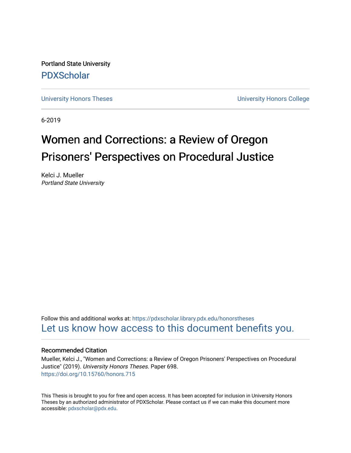Portland State University [PDXScholar](https://pdxscholar.library.pdx.edu/)

[University Honors Theses](https://pdxscholar.library.pdx.edu/honorstheses) [University Honors College](https://pdxscholar.library.pdx.edu/honors) 

6-2019

# Women and Corrections: a Review of Oregon Prisoners' Perspectives on Procedural Justice

Kelci J. Mueller Portland State University

Follow this and additional works at: [https://pdxscholar.library.pdx.edu/honorstheses](https://pdxscholar.library.pdx.edu/honorstheses?utm_source=pdxscholar.library.pdx.edu%2Fhonorstheses%2F698&utm_medium=PDF&utm_campaign=PDFCoverPages)  [Let us know how access to this document benefits you.](http://library.pdx.edu/services/pdxscholar-services/pdxscholar-feedback/) 

# Recommended Citation

Mueller, Kelci J., "Women and Corrections: a Review of Oregon Prisoners' Perspectives on Procedural Justice" (2019). University Honors Theses. Paper 698. <https://doi.org/10.15760/honors.715>

This Thesis is brought to you for free and open access. It has been accepted for inclusion in University Honors Theses by an authorized administrator of PDXScholar. Please contact us if we can make this document more accessible: [pdxscholar@pdx.edu.](mailto:pdxscholar@pdx.edu)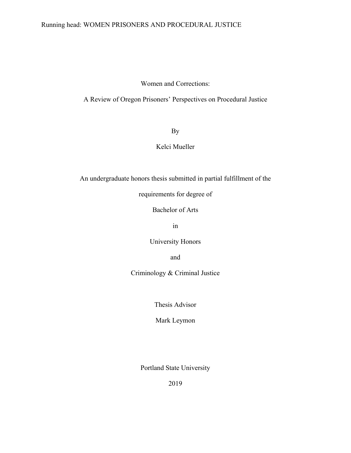# Running head: WOMEN PRISONERS AND PROCEDURAL JUSTICE

# Women and Corrections:

A Review of Oregon Prisoners' Perspectives on Procedural Justice

By

# Kelci Mueller

An undergraduate honors thesis submitted in partial fulfillment of the

requirements for degree of

Bachelor of Arts

in

University Honors

and

Criminology & Criminal Justice

Thesis Advisor

Mark Leymon

Portland State University

2019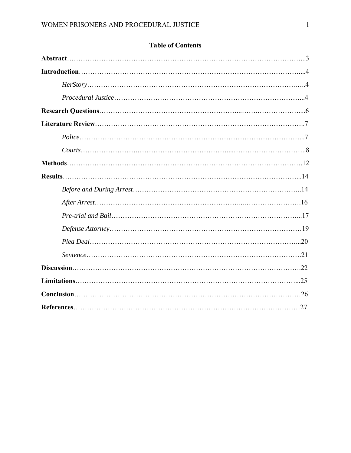# **Table of Contents**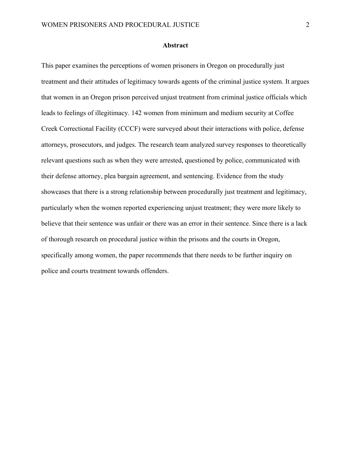#### **Abstract**

This paper examines the perceptions of women prisoners in Oregon on procedurally just treatment and their attitudes of legitimacy towards agents of the criminal justice system. It argues that women in an Oregon prison perceived unjust treatment from criminal justice officials which leads to feelings of illegitimacy. 142 women from minimum and medium security at Coffee Creek Correctional Facility (CCCF) were surveyed about their interactions with police, defense attorneys, prosecutors, and judges. The research team analyzed survey responses to theoretically relevant questions such as when they were arrested, questioned by police, communicated with their defense attorney, plea bargain agreement, and sentencing. Evidence from the study showcases that there is a strong relationship between procedurally just treatment and legitimacy, particularly when the women reported experiencing unjust treatment; they were more likely to believe that their sentence was unfair or there was an error in their sentence. Since there is a lack of thorough research on procedural justice within the prisons and the courts in Oregon, specifically among women, the paper recommends that there needs to be further inquiry on police and courts treatment towards offenders.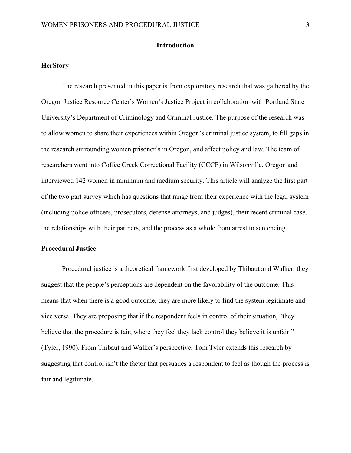# **Introduction**

#### **HerStory**

The research presented in this paper is from exploratory research that was gathered by the Oregon Justice Resource Center's Women's Justice Project in collaboration with Portland State University's Department of Criminology and Criminal Justice. The purpose of the research was to allow women to share their experiences within Oregon's criminal justice system, to fill gaps in the research surrounding women prisoner's in Oregon, and affect policy and law. The team of researchers went into Coffee Creek Correctional Facility (CCCF) in Wilsonville, Oregon and interviewed 142 women in minimum and medium security. This article will analyze the first part of the two part survey which has questions that range from their experience with the legal system (including police officers, prosecutors, defense attorneys, and judges), their recent criminal case, the relationships with their partners, and the process as a whole from arrest to sentencing.

## **Procedural Justice**

Procedural justice is a theoretical framework first developed by Thibaut and Walker, they suggest that the people's perceptions are dependent on the favorability of the outcome. This means that when there is a good outcome, they are more likely to find the system legitimate and vice versa. They are proposing that if the respondent feels in control of their situation, "they believe that the procedure is fair; where they feel they lack control they believe it is unfair." (Tyler, 1990). From Thibaut and Walker's perspective, Tom Tyler extends this research by suggesting that control isn't the factor that persuades a respondent to feel as though the process is fair and legitimate.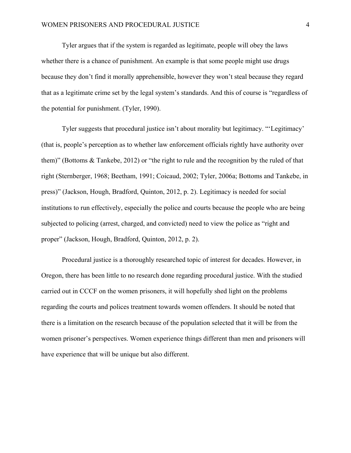Tyler argues that if the system is regarded as legitimate, people will obey the laws whether there is a chance of punishment. An example is that some people might use drugs because they don't find it morally apprehensible, however they won't steal because they regard that as a legitimate crime set by the legal system's standards. And this of course is "regardless of the potential for punishment. (Tyler, 1990).

 Tyler suggests that procedural justice isn't about morality but legitimacy. "'Legitimacy' (that is, people's perception as to whether law enforcement officials rightly have authority over them)" (Bottoms & Tankebe, 2012) or "the right to rule and the recognition by the ruled of that right (Sternberger, 1968; Beetham, 1991; Coicaud, 2002; Tyler, 2006a; Bottoms and Tankebe, in press)" (Jackson, Hough, Bradford, Quinton, 2012, p. 2). Legitimacy is needed for social institutions to run effectively, especially the police and courts because the people who are being subjected to policing (arrest, charged, and convicted) need to view the police as "right and proper" (Jackson, Hough, Bradford, Quinton, 2012, p. 2).

 Procedural justice is a thoroughly researched topic of interest for decades. However, in Oregon, there has been little to no research done regarding procedural justice. With the studied carried out in CCCF on the women prisoners, it will hopefully shed light on the problems regarding the courts and polices treatment towards women offenders. It should be noted that there is a limitation on the research because of the population selected that it will be from the women prisoner's perspectives. Women experience things different than men and prisoners will have experience that will be unique but also different.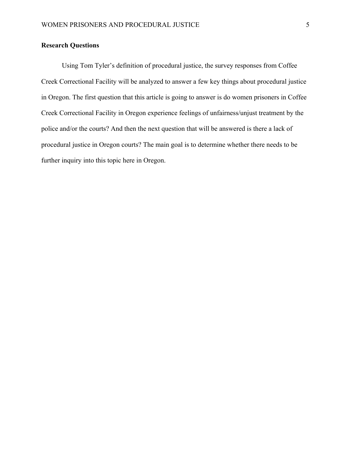# **Research Questions**

 Using Tom Tyler's definition of procedural justice, the survey responses from Coffee Creek Correctional Facility will be analyzed to answer a few key things about procedural justice in Oregon. The first question that this article is going to answer is do women prisoners in Coffee Creek Correctional Facility in Oregon experience feelings of unfairness/unjust treatment by the police and/or the courts? And then the next question that will be answered is there a lack of procedural justice in Oregon courts? The main goal is to determine whether there needs to be further inquiry into this topic here in Oregon.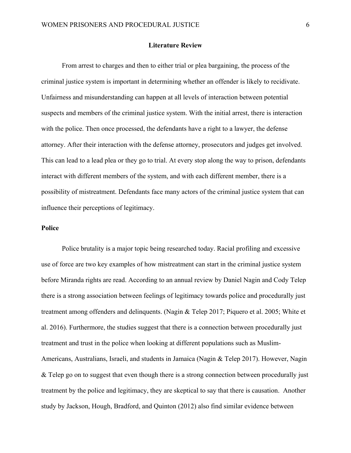#### **Literature Review**

From arrest to charges and then to either trial or plea bargaining, the process of the criminal justice system is important in determining whether an offender is likely to recidivate. Unfairness and misunderstanding can happen at all levels of interaction between potential suspects and members of the criminal justice system. With the initial arrest, there is interaction with the police. Then once processed, the defendants have a right to a lawyer, the defense attorney. After their interaction with the defense attorney, prosecutors and judges get involved. This can lead to a lead plea or they go to trial. At every stop along the way to prison, defendants interact with different members of the system, and with each different member, there is a possibility of mistreatment. Defendants face many actors of the criminal justice system that can influence their perceptions of legitimacy.

# **Police**

 Police brutality is a major topic being researched today. Racial profiling and excessive use of force are two key examples of how mistreatment can start in the criminal justice system before Miranda rights are read. According to an annual review by Daniel Nagin and Cody Telep there is a strong association between feelings of legitimacy towards police and procedurally just treatment among offenders and delinquents. (Nagin & Telep 2017; Piquero et al. 2005; White et al. 2016). Furthermore, the studies suggest that there is a connection between procedurally just treatment and trust in the police when looking at different populations such as Muslim-Americans, Australians, Israeli, and students in Jamaica (Nagin & Telep 2017). However, Nagin & Telep go on to suggest that even though there is a strong connection between procedurally just treatment by the police and legitimacy, they are skeptical to say that there is causation. Another study by Jackson, Hough, Bradford, and Quinton (2012) also find similar evidence between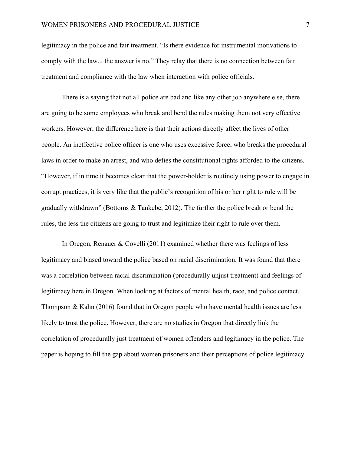legitimacy in the police and fair treatment, "Is there evidence for instrumental motivations to comply with the law... the answer is no." They relay that there is no connection between fair treatment and compliance with the law when interaction with police officials.

 There is a saying that not all police are bad and like any other job anywhere else, there are going to be some employees who break and bend the rules making them not very effective workers. However, the difference here is that their actions directly affect the lives of other people. An ineffective police officer is one who uses excessive force, who breaks the procedural laws in order to make an arrest, and who defies the constitutional rights afforded to the citizens. "However, if in time it becomes clear that the power-holder is routinely using power to engage in corrupt practices, it is very like that the public's recognition of his or her right to rule will be gradually withdrawn" (Bottoms & Tankebe, 2012). The further the police break or bend the rules, the less the citizens are going to trust and legitimize their right to rule over them.

In Oregon, Renauer & Covelli (2011) examined whether there was feelings of less legitimacy and biased toward the police based on racial discrimination. It was found that there was a correlation between racial discrimination (procedurally unjust treatment) and feelings of legitimacy here in Oregon. When looking at factors of mental health, race, and police contact, Thompson & Kahn  $(2016)$  found that in Oregon people who have mental health issues are less likely to trust the police. However, there are no studies in Oregon that directly link the correlation of procedurally just treatment of women offenders and legitimacy in the police. The paper is hoping to fill the gap about women prisoners and their perceptions of police legitimacy.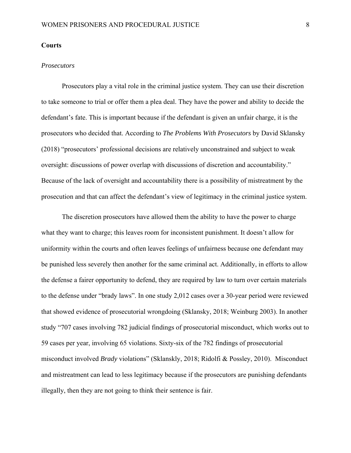#### **Courts**

#### *Prosecutors*

Prosecutors play a vital role in the criminal justice system. They can use their discretion to take someone to trial or offer them a plea deal. They have the power and ability to decide the defendant's fate. This is important because if the defendant is given an unfair charge, it is the prosecutors who decided that. According to *The Problems With Prosecutors* by David Sklansky (2018) "prosecutors' professional decisions are relatively unconstrained and subject to weak oversight: discussions of power overlap with discussions of discretion and accountability." Because of the lack of oversight and accountability there is a possibility of mistreatment by the prosecution and that can affect the defendant's view of legitimacy in the criminal justice system.

 The discretion prosecutors have allowed them the ability to have the power to charge what they want to charge; this leaves room for inconsistent punishment. It doesn't allow for uniformity within the courts and often leaves feelings of unfairness because one defendant may be punished less severely then another for the same criminal act. Additionally, in efforts to allow the defense a fairer opportunity to defend, they are required by law to turn over certain materials to the defense under "brady laws". In one study 2,012 cases over a 30-year period were reviewed that showed evidence of prosecutorial wrongdoing (Sklansky, 2018; Weinburg 2003). In another study "707 cases involving 782 judicial findings of prosecutorial misconduct, which works out to 59 cases per year, involving 65 violations. Sixty-six of the 782 findings of prosecutorial misconduct involved *Brady* violations" (Sklanskly, 2018; Ridolfi & Possley, 2010). Misconduct and mistreatment can lead to less legitimacy because if the prosecutors are punishing defendants illegally, then they are not going to think their sentence is fair.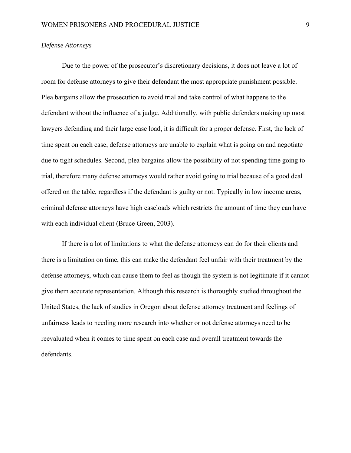#### *Defense Attorneys*

Due to the power of the prosecutor's discretionary decisions, it does not leave a lot of room for defense attorneys to give their defendant the most appropriate punishment possible. Plea bargains allow the prosecution to avoid trial and take control of what happens to the defendant without the influence of a judge. Additionally, with public defenders making up most lawyers defending and their large case load, it is difficult for a proper defense. First, the lack of time spent on each case, defense attorneys are unable to explain what is going on and negotiate due to tight schedules. Second, plea bargains allow the possibility of not spending time going to trial, therefore many defense attorneys would rather avoid going to trial because of a good deal offered on the table, regardless if the defendant is guilty or not. Typically in low income areas, criminal defense attorneys have high caseloads which restricts the amount of time they can have with each individual client (Bruce Green, 2003).

 If there is a lot of limitations to what the defense attorneys can do for their clients and there is a limitation on time, this can make the defendant feel unfair with their treatment by the defense attorneys, which can cause them to feel as though the system is not legitimate if it cannot give them accurate representation. Although this research is thoroughly studied throughout the United States, the lack of studies in Oregon about defense attorney treatment and feelings of unfairness leads to needing more research into whether or not defense attorneys need to be reevaluated when it comes to time spent on each case and overall treatment towards the defendants.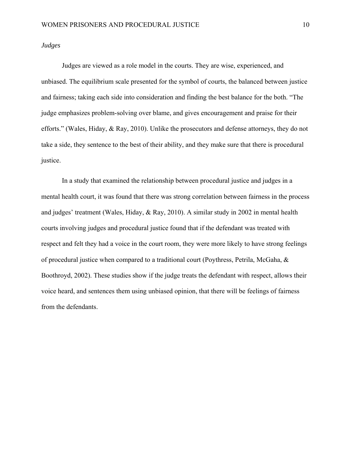### *Judges*

 Judges are viewed as a role model in the courts. They are wise, experienced, and unbiased. The equilibrium scale presented for the symbol of courts, the balanced between justice and fairness; taking each side into consideration and finding the best balance for the both. "The judge emphasizes problem-solving over blame, and gives encouragement and praise for their efforts." (Wales, Hiday, & Ray, 2010). Unlike the prosecutors and defense attorneys, they do not take a side, they sentence to the best of their ability, and they make sure that there is procedural justice.

 In a study that examined the relationship between procedural justice and judges in a mental health court, it was found that there was strong correlation between fairness in the process and judges' treatment (Wales, Hiday, & Ray, 2010). A similar study in 2002 in mental health courts involving judges and procedural justice found that if the defendant was treated with respect and felt they had a voice in the court room, they were more likely to have strong feelings of procedural justice when compared to a traditional court (Poythress, Petrila, McGaha, & Boothroyd, 2002). These studies show if the judge treats the defendant with respect, allows their voice heard, and sentences them using unbiased opinion, that there will be feelings of fairness from the defendants.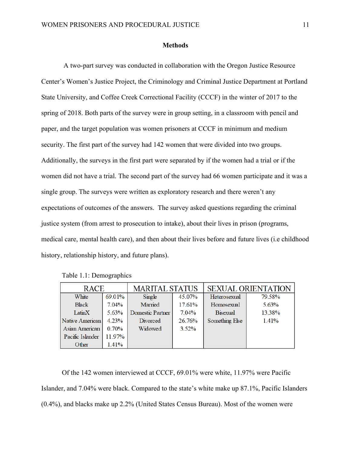#### **Methods**

 A two-part survey was conducted in collaboration with the Oregon Justice Resource Center's Women's Justice Project, the Criminology and Criminal Justice Department at Portland State University, and Coffee Creek Correctional Facility (CCCF) in the winter of 2017 to the spring of 2018. Both parts of the survey were in group setting, in a classroom with pencil and paper, and the target population was women prisoners at CCCF in minimum and medium security. The first part of the survey had 142 women that were divided into two groups. Additionally, the surveys in the first part were separated by if the women had a trial or if the women did not have a trial. The second part of the survey had 66 women participate and it was a single group. The surveys were written as exploratory research and there weren't any expectations of outcomes of the answers. The survey asked questions regarding the criminal justice system (from arrest to prosecution to intake), about their lives in prison (programs, medical care, mental health care), and then about their lives before and future lives (i.e childhood history, relationship history, and future plans).

| <b>RACE</b>      |        | <b>MARITAL STATUS</b>   |          | <b>SEXUAL ORIENTATION</b> |        |  |
|------------------|--------|-------------------------|----------|---------------------------|--------|--|
| White            | 69.01% | Single                  | 45.07%   | Heterosexual              | 79.58% |  |
| <b>Black</b>     | 7.04%  | Married                 | 17.61%   | Homosexual                | 5.63%  |  |
| LatinX           | 5.63%  | <b>Domestic Partner</b> | 7.04%    | <b>Bisexual</b>           | 13.38% |  |
| Native American  | 4.23%  | Divorced                | 26.76%   | Something Else            | 1.41%  |  |
| Asian American   | 0.70%  | Widowed                 | $3.52\%$ |                           |        |  |
| Pacific Islander | 11.97% |                         |          |                           |        |  |
| Other            | 1.41%  |                         |          |                           |        |  |

Table 1.1: Demographics

Of the 142 women interviewed at CCCF, 69.01% were white, 11.97% were Pacific Islander, and 7.04% were black. Compared to the state's white make up 87.1%, Pacific Islanders (0.4%), and blacks make up 2.2% (United States Census Bureau). Most of the women were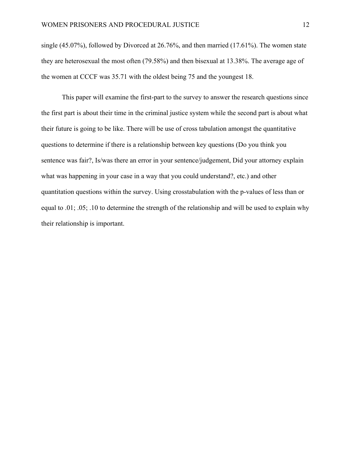single (45.07%), followed by Divorced at 26.76%, and then married (17.61%). The women state they are heterosexual the most often (79.58%) and then bisexual at 13.38%. The average age of the women at CCCF was 35.71 with the oldest being 75 and the youngest 18.

This paper will examine the first-part to the survey to answer the research questions since the first part is about their time in the criminal justice system while the second part is about what their future is going to be like. There will be use of cross tabulation amongst the quantitative questions to determine if there is a relationship between key questions (Do you think you sentence was fair?, Is/was there an error in your sentence/judgement, Did your attorney explain what was happening in your case in a way that you could understand?, etc.) and other quantitation questions within the survey. Using crosstabulation with the p-values of less than or equal to .01; .05; .10 to determine the strength of the relationship and will be used to explain why their relationship is important.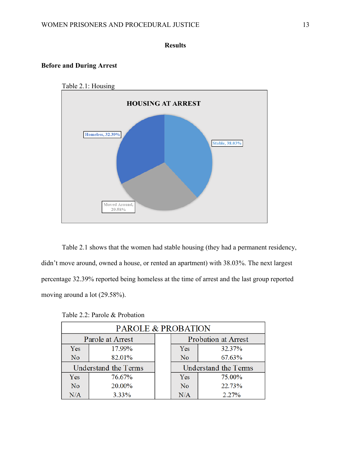# **Results**

# **Before and During Arrest**



Table 2.1 shows that the women had stable housing (they had a permanent residency, didn't move around, owned a house, or rented an apartment) with 38.03%. The next largest percentage 32.39% reported being homeless at the time of arrest and the last group reported moving around a lot (29.58%).

| <b>PAROLE &amp; PROBATION</b> |        |  |     |                            |
|-------------------------------|--------|--|-----|----------------------------|
| Parole at Arrest              |        |  |     | <b>Probation at Arrest</b> |
| Yes                           | 17.99% |  | Yes | 32.37%                     |
| No                            | 82.01% |  | No  | 67.63%                     |
| Understand the Terms          |        |  |     | Understand the Terms       |
| Yes                           | 76.67% |  | Yes | 75.00%                     |
| N <sub>o</sub>                | 20.00% |  | No  | 22.73%                     |
| N/A                           | 3.33%  |  | N/A | 2.27%                      |

Table 2.2: Parole & Probation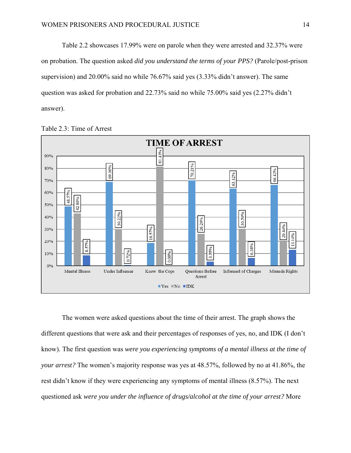Table 2.2 showcases 17.99% were on parole when they were arrested and 32.37% were on probation. The question asked *did you understand the terms of your PPS?* (Parole/post-prison supervision) and 20.00% said no while 76.67% said yes (3.33% didn't answer). The same question was asked for probation and 22.73% said no while 75.00% said yes (2.27% didn't answer).



Table 2.3: Time of Arrest

The women were asked questions about the time of their arrest. The graph shows the different questions that were ask and their percentages of responses of yes, no, and IDK (I don't know). The first question was *were you experiencing symptoms of a mental illness at the time of your arrest?* The women's majority response was yes at 48.57%, followed by no at 41.86%, the rest didn't know if they were experiencing any symptoms of mental illness (8.57%). The next questioned ask *were you under the influence of drugs/alcohol at the time of your arrest?* More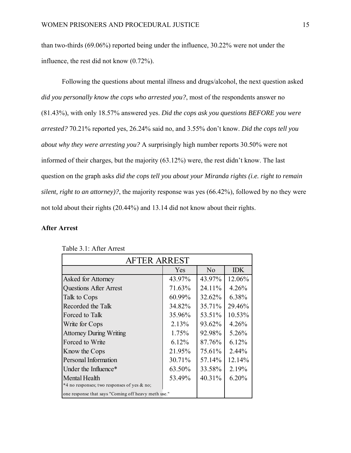than two-thirds (69.06%) reported being under the influence, 30.22% were not under the influence, the rest did not know (0.72%).

Following the questions about mental illness and drugs/alcohol, the next question asked *did you personally know the cops who arrested you?*, most of the respondents answer no (81.43%), with only 18.57% answered yes. *Did the cops ask you questions BEFORE you were arrested?* 70.21% reported yes, 26.24% said no, and 3.55% don't know. *Did the cops tell you about why they were arresting you?* A surprisingly high number reports 30.50% were not informed of their charges, but the majority (63.12%) were, the rest didn't know. The last question on the graph asks *did the cops tell you about your Miranda rights (i.e. right to remain silent, right to an attorney)?*, the majority response was yes (66.42%), followed by no they were not told about their rights (20.44%) and 13.14 did not know about their rights.

# **After Arrest**

| <b>AFTER ARREST</b>                                 |        |                |            |
|-----------------------------------------------------|--------|----------------|------------|
|                                                     | Yes    | N <sub>o</sub> | <b>IDK</b> |
| Asked for Attorney                                  | 43.97% | 43.97%         | 12.06%     |
| <b>Questions After Arrest</b>                       | 71.63% | 24.11%         | 4.26%      |
| Talk to Cops                                        | 60.99% | 32.62%         | 6.38%      |
| Recorded the Talk                                   | 34.82% | 35.71%         | 29.46%     |
| Forced to Talk                                      | 35.96% | 53.51%         | 10.53%     |
| Write for Cops                                      | 2.13%  | 93.62%         | 4.26%      |
| <b>Attorney During Writing</b>                      | 1.75%  | 92.98%         | 5.26%      |
| Forced to Write                                     | 6.12%  | 87.76%         | 6.12%      |
| Know the Cops                                       | 21.95% | 75.61%         | 2.44%      |
| Personal Information                                | 30.71% | 57.14%         | 12.14%     |
| Under the Influence*                                | 63.50% | 33.58%         | 2.19%      |
| Mental Health                                       | 53.49% | 40.31%         | 6.20%      |
| *4 no responses; two responses of yes & no;         |        |                |            |
| one response that says "Coming off heavy meth use." |        |                |            |

Table 3.1: After Arrest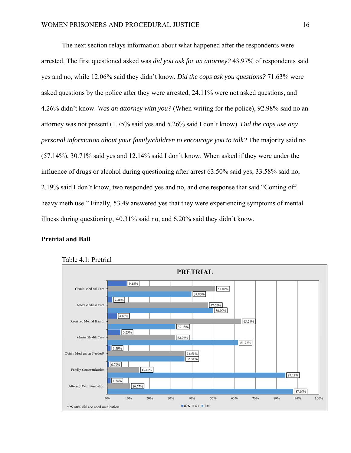The next section relays information about what happened after the respondents were arrested. The first questioned asked was *did you ask for an attorney?* 43.97% of respondents said yes and no, while 12.06% said they didn't know. *Did the cops ask you questions?* 71.63% were asked questions by the police after they were arrested, 24.11% were not asked questions, and 4.26% didn't know. *Was an attorney with you?* (When writing for the police), 92.98% said no an attorney was not present (1.75% said yes and 5.26% said I don't know). *Did the cops use any personal information about your family/children to encourage you to talk?* The majority said no (57.14%), 30.71% said yes and 12.14% said I don't know. When asked if they were under the influence of drugs or alcohol during questioning after arrest 63.50% said yes, 33.58% said no, 2.19% said I don't know, two responded yes and no, and one response that said "Coming off heavy meth use." Finally, 53.49 answered yes that they were experiencing symptoms of mental illness during questioning, 40.31% said no, and 6.20% said they didn't know.

# **Pretrial and Bail**



#### Table 4.1: Pretrial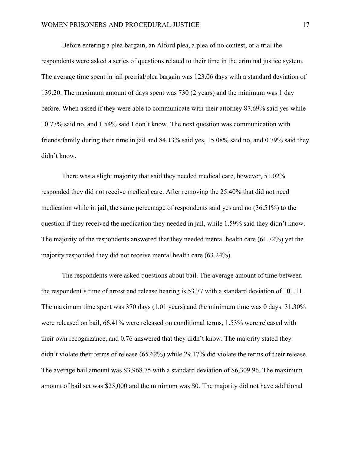Before entering a plea bargain, an Alford plea, a plea of no contest, or a trial the respondents were asked a series of questions related to their time in the criminal justice system. The average time spent in jail pretrial/plea bargain was 123.06 days with a standard deviation of 139.20. The maximum amount of days spent was 730 (2 years) and the minimum was 1 day before. When asked if they were able to communicate with their attorney 87.69% said yes while 10.77% said no, and 1.54% said I don't know. The next question was communication with friends/family during their time in jail and 84.13% said yes, 15.08% said no, and 0.79% said they didn't know.

 There was a slight majority that said they needed medical care, however, 51.02% responded they did not receive medical care. After removing the 25.40% that did not need medication while in jail, the same percentage of respondents said yes and no (36.51%) to the question if they received the medication they needed in jail, while 1.59% said they didn't know. The majority of the respondents answered that they needed mental health care (61.72%) yet the majority responded they did not receive mental health care (63.24%).

 The respondents were asked questions about bail. The average amount of time between the respondent's time of arrest and release hearing is 53.77 with a standard deviation of 101.11. The maximum time spent was 370 days (1.01 years) and the minimum time was 0 days. 31.30% were released on bail, 66.41% were released on conditional terms, 1.53% were released with their own recognizance, and 0.76 answered that they didn't know. The majority stated they didn't violate their terms of release (65.62%) while 29.17% did violate the terms of their release. The average bail amount was \$3,968.75 with a standard deviation of \$6,309.96. The maximum amount of bail set was \$25,000 and the minimum was \$0. The majority did not have additional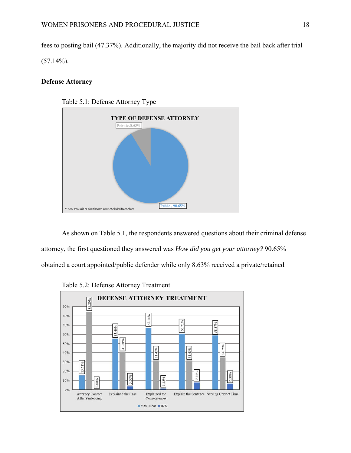fees to posting bail (47.37%). Additionally, the majority did not receive the bail back after trial  $(57.14\%)$ .

# **Defense Attorney**



As shown on Table 5.1, the respondents answered questions about their criminal defense attorney, the first questioned they answered was *How did you get your attorney?* 90.65% obtained a court appointed/public defender while only 8.63% received a private/retained



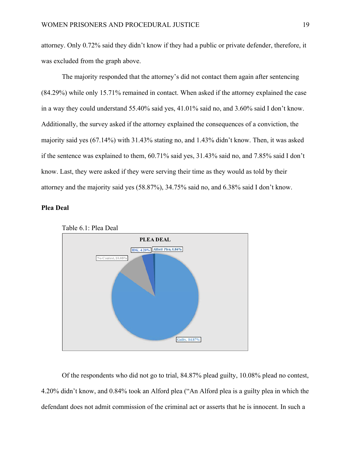attorney. Only 0.72% said they didn't know if they had a public or private defender, therefore, it was excluded from the graph above.

The majority responded that the attorney's did not contact them again after sentencing (84.29%) while only 15.71% remained in contact. When asked if the attorney explained the case in a way they could understand 55.40% said yes, 41.01% said no, and 3.60% said I don't know. Additionally, the survey asked if the attorney explained the consequences of a conviction, the majority said yes (67.14%) with 31.43% stating no, and 1.43% didn't know. Then, it was asked if the sentence was explained to them, 60.71% said yes, 31.43% said no, and 7.85% said I don't know. Last, they were asked if they were serving their time as they would as told by their attorney and the majority said yes (58.87%), 34.75% said no, and 6.38% said I don't know.

# **Plea Deal**



Table 6.1: Plea Deal

Of the respondents who did not go to trial, 84.87% plead guilty, 10.08% plead no contest, 4.20% didn't know, and 0.84% took an Alford plea ("An Alford plea is a guilty plea in which the defendant does not admit commission of the criminal act or asserts that he is innocent. In such a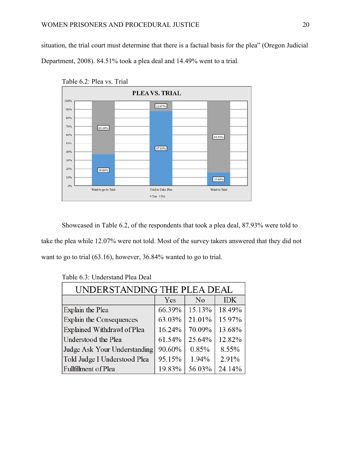situation, the trial court must determine that there is a factual basis for the plea" (Oregon Judicial Department, 2008). 84.51% took a plea deal and 14.49% went to a trial.





Showcased in Table 6.2, of the respondents that took a plea deal, 87.93% were told to take the plea while 12.07% were not told. Most of the survey takers answered that they did not want to go to trial (63.16), however, 36.84% wanted to go to trial.

| UNDERSTANDING THE PLEA DEAL  |        |        |            |
|------------------------------|--------|--------|------------|
|                              | Yes    | No     | <b>IDK</b> |
| Explain the Plea             | 66.39% | 15.13% | 18.49%     |
| Explain the Consequences     | 63.03% | 21.01% | 15.97%     |
| Explained Withdrawl of Plea  | 16.24% | 70.09% | 13.68%     |
| Understood the Plea          | 61.54% | 25.64% | 12.82%     |
| Judge Ask Your Understanding | 90.60% | 0.85%  | 8.55%      |
| Told Judge I Understood Plea | 95.15% | 1.94%  | 2.91%      |
| Fullfillment of Plea         | 19.83% | 56.03% | 24.14%     |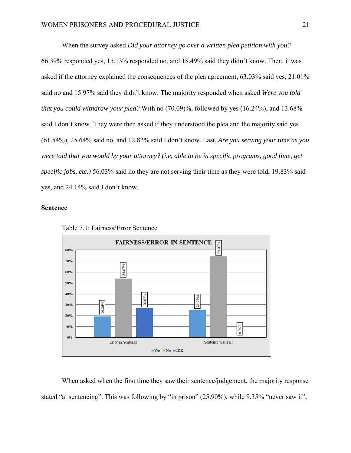When the survey asked *Did your attorney go over a written plea petition with you?* 66.39% responded yes, 15.13% responded no, and 18.49% said they didn't know. Then, it was asked if the attorney explained the consequences of the plea agreement, 63.03% said yes, 21.01% said no and 15.97% said they didn't know. The majority responded when asked *Were you told that you could withdraw your plea?* With no (70.09)%, followed by yes (16.24%), and 13.68% said I don't know. They were then asked if they understood the plea and the majority said yes (61.54%), 25.64% said no, and 12.82% said I don't know. Last, *Are you serving your time as you were told that you would by your attorney? (i.e. able to be in specific programs, good time, get specific jobs, etc.)* 56.03% said no they are not serving their time as they were told, 19.83% said yes, and 24.14% said I don't know.

#### **Sentence**



Table 7.1: Fairness/Error Sentence

When asked when the first time they saw their sentence/judgement, the majority response stated "at sentencing". This was following by "in prison" (25.90%), while 9.35% "never saw it",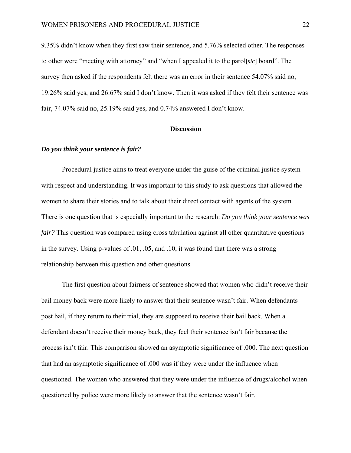9.35% didn't know when they first saw their sentence, and 5.76% selected other. The responses to other were "meeting with attorney" and "when I appealed it to the parol[*sic*] board". The survey then asked if the respondents felt there was an error in their sentence 54.07% said no, 19.26% said yes, and 26.67% said I don't know. Then it was asked if they felt their sentence was fair, 74.07% said no, 25.19% said yes, and 0.74% answered I don't know.

#### **Discussion**

#### *Do you think your sentence is fair?*

 Procedural justice aims to treat everyone under the guise of the criminal justice system with respect and understanding. It was important to this study to ask questions that allowed the women to share their stories and to talk about their direct contact with agents of the system. There is one question that is especially important to the research: *Do you think your sentence was fair?* This question was compared using cross tabulation against all other quantitative questions in the survey. Using p-values of .01, .05, and .10, it was found that there was a strong relationship between this question and other questions.

The first question about fairness of sentence showed that women who didn't receive their bail money back were more likely to answer that their sentence wasn't fair. When defendants post bail, if they return to their trial, they are supposed to receive their bail back. When a defendant doesn't receive their money back, they feel their sentence isn't fair because the process isn't fair. This comparison showed an asymptotic significance of .000. The next question that had an asymptotic significance of .000 was if they were under the influence when questioned. The women who answered that they were under the influence of drugs/alcohol when questioned by police were more likely to answer that the sentence wasn't fair.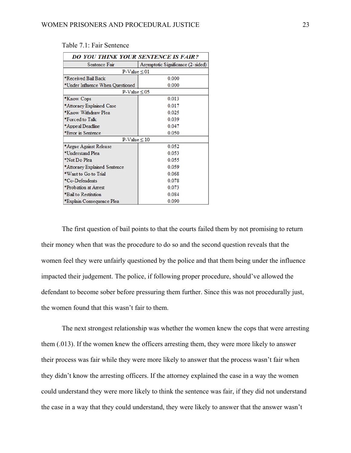| <b>DO YOU THINK YOUR SENTENCE IS FAIR?</b> |                                   |  |
|--------------------------------------------|-----------------------------------|--|
| Sentence Fair                              | Asymptotic Significance (2-sided) |  |
| $P-Value \leq 01$                          |                                   |  |
| *Received Bail Back                        | 0.000                             |  |
| *Under Influence When Questioned           | 0.000                             |  |
| $P-Value \leq 0.05$                        |                                   |  |
| *Know Cops                                 | 0.013                             |  |
| *Attorney Explained Case                   | 0.017                             |  |
| *Know Withdraw Plea                        | 0.025                             |  |
| *Forced to Talk                            | 0.039                             |  |
| *Appeal Deadline                           | 0.047                             |  |
| *Error in Sentence                         | 0.050                             |  |
| $P-Value \leq 10$                          |                                   |  |
| *Argue Against Release                     | 0.052                             |  |
| *Understand Plea                           | 0.053                             |  |
| *Not Do Plea                               | 0.055                             |  |
| *Attorney Explained Sentence               | 0.059                             |  |
| *Want to Go to Trial                       | 0.068                             |  |
| *Co-Defendents                             | 0.078                             |  |
| *Probation at Arrest                       | 0.073                             |  |
| *Bail to Restitution                       | 0.084                             |  |
| *Explain Consequence Plea                  | 0.090                             |  |

#### Table 7.1: Fair Sentence

The first question of bail points to that the courts failed them by not promising to return their money when that was the procedure to do so and the second question reveals that the women feel they were unfairly questioned by the police and that them being under the influence impacted their judgement. The police, if following proper procedure, should've allowed the defendant to become sober before pressuring them further. Since this was not procedurally just, the women found that this wasn't fair to them.

 The next strongest relationship was whether the women knew the cops that were arresting them (.013). If the women knew the officers arresting them, they were more likely to answer their process was fair while they were more likely to answer that the process wasn't fair when they didn't know the arresting officers. If the attorney explained the case in a way the women could understand they were more likely to think the sentence was fair, if they did not understand the case in a way that they could understand, they were likely to answer that the answer wasn't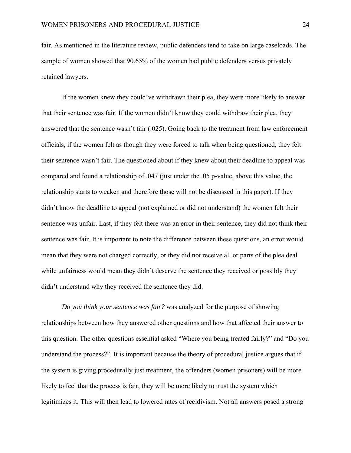fair. As mentioned in the literature review, public defenders tend to take on large caseloads. The sample of women showed that 90.65% of the women had public defenders versus privately retained lawyers.

 If the women knew they could've withdrawn their plea, they were more likely to answer that their sentence was fair. If the women didn't know they could withdraw their plea, they answered that the sentence wasn't fair (.025). Going back to the treatment from law enforcement officials, if the women felt as though they were forced to talk when being questioned, they felt their sentence wasn't fair. The questioned about if they knew about their deadline to appeal was compared and found a relationship of .047 (just under the .05 p-value, above this value, the relationship starts to weaken and therefore those will not be discussed in this paper). If they didn't know the deadline to appeal (not explained or did not understand) the women felt their sentence was unfair. Last, if they felt there was an error in their sentence, they did not think their sentence was fair. It is important to note the difference between these questions, an error would mean that they were not charged correctly, or they did not receive all or parts of the plea deal while unfairness would mean they didn't deserve the sentence they received or possibly they didn't understand why they received the sentence they did.

*Do you think your sentence was fair?* was analyzed for the purpose of showing relationships between how they answered other questions and how that affected their answer to this question. The other questions essential asked "Where you being treated fairly?" and "Do you understand the process?". It is important because the theory of procedural justice argues that if the system is giving procedurally just treatment, the offenders (women prisoners) will be more likely to feel that the process is fair, they will be more likely to trust the system which legitimizes it. This will then lead to lowered rates of recidivism. Not all answers posed a strong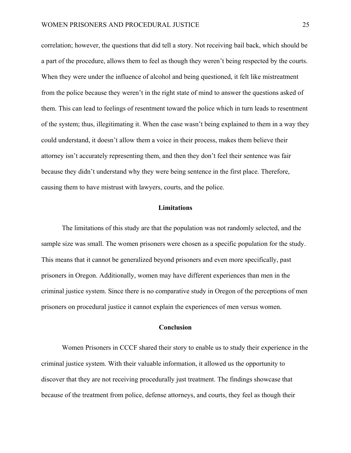correlation; however, the questions that did tell a story. Not receiving bail back, which should be a part of the procedure, allows them to feel as though they weren't being respected by the courts. When they were under the influence of alcohol and being questioned, it felt like mistreatment from the police because they weren't in the right state of mind to answer the questions asked of them. This can lead to feelings of resentment toward the police which in turn leads to resentment of the system; thus, illegitimating it. When the case wasn't being explained to them in a way they could understand, it doesn't allow them a voice in their process, makes them believe their attorney isn't accurately representing them, and then they don't feel their sentence was fair because they didn't understand why they were being sentence in the first place. Therefore, causing them to have mistrust with lawyers, courts, and the police.

# **Limitations**

 The limitations of this study are that the population was not randomly selected, and the sample size was small. The women prisoners were chosen as a specific population for the study. This means that it cannot be generalized beyond prisoners and even more specifically, past prisoners in Oregon. Additionally, women may have different experiences than men in the criminal justice system. Since there is no comparative study in Oregon of the perceptions of men prisoners on procedural justice it cannot explain the experiences of men versus women.

# **Conclusion**

 Women Prisoners in CCCF shared their story to enable us to study their experience in the criminal justice system. With their valuable information, it allowed us the opportunity to discover that they are not receiving procedurally just treatment. The findings showcase that because of the treatment from police, defense attorneys, and courts, they feel as though their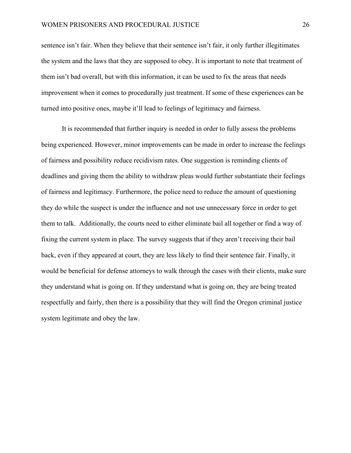sentence isn't fair. When they believe that their sentence isn't fair, it only further illegitimates the system and the laws that they are supposed to obey. It is important to note that treatment of them isn't bad overall, but with this information, it can be used to fix the areas that needs improvement when it comes to procedurally just treatment. If some of these experiences can be turned into positive ones, maybe it'll lead to feelings of legitimacy and fairness.

 It is recommended that further inquiry is needed in order to fully assess the problems being experienced. However, minor improvements can be made in order to increase the feelings of fairness and possibility reduce recidivism rates. One suggestion is reminding clients of deadlines and giving them the ability to withdraw pleas would further substantiate their feelings of fairness and legitimacy. Furthermore, the police need to reduce the amount of questioning they do while the suspect is under the influence and not use unnecessary force in order to get them to talk. Additionally, the courts need to either eliminate bail all together or find a way of fixing the current system in place. The survey suggests that if they aren't receiving their bail back, even if they appeared at court, they are less likely to find their sentence fair. Finally, it would be beneficial for defense attorneys to walk through the cases with their clients, make sure they understand what is going on. If they understand what is going on, they are being treated respectfully and fairly, then there is a possibility that they will find the Oregon criminal justice system legitimate and obey the law.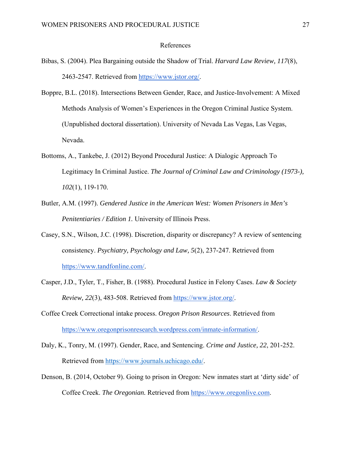#### References

- Bibas, S. (2004). Plea Bargaining outside the Shadow of Trial. *Harvard Law Review, 117*(8), 2463-2547. Retrieved from https://www.jstor.org/.
- Boppre, B.L. (2018). Intersections Between Gender, Race, and Justice-Involvement: A Mixed Methods Analysis of Women's Experiences in the Oregon Criminal Justice System. (Unpublished doctoral dissertation). University of Nevada Las Vegas, Las Vegas, Nevada.
- Bottoms, A., Tankebe, J. (2012) Beyond Procedural Justice: A Dialogic Approach To Legitimacy In Criminal Justice. *The Journal of Criminal Law and Criminology (1973-), 102*(1), 119-170.
- Butler, A.M. (1997). *Gendered Justice in the American West: Women Prisoners in Men's Penitentiaries / Edition 1.* University of Illinois Press.
- Casey, S.N., Wilson, J.C. (1998). Discretion, disparity or discrepancy? A review of sentencing consistency. *Psychiatry, Psychology and Law, 5*(2), 237-247. Retrieved from https://www.tandfonline.com/.
- Casper, J.D., Tyler, T., Fisher, B. (1988). Procedural Justice in Felony Cases. *Law & Society Review, 22*(3), 483-508. Retrieved from https://www.jstor.org/.
- Coffee Creek Correctional intake process. *Oregon Prison Resources*. Retrieved from https://www.oregonprisonresearch.wordpress.com/inmate-information/.
- Daly, K., Tonry, M. (1997). Gender, Race, and Sentencing. *Crime and Justice, 22*, 201-252. Retrieved from https://www.journals.uchicago.edu/.
- Denson, B. (2014, October 9). Going to prison in Oregon: New inmates start at 'dirty side' of Coffee Creek. *The Oregonian.* Retrieved from https://www.oregonlive.com.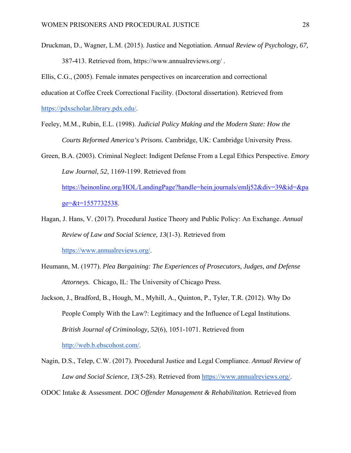- Druckman, D., Wagner, L.M. (2015). Justice and Negotiation. *Annual Review of Psychology, 67,* 387-413. Retrieved from, https://www.annualreviews.org/ .
- Ellis, C.G., (2005). Female inmates perspectives on incarceration and correctional
- education at Coffee Creek Correctional Facility. (Doctoral dissertation). Retrieved from

https://pdxscholar.library.pdx.edu/.

- Feeley, M.M., Rubin, E.L. (1998). *Judicial Policy Making and the Modern State: How the Courts Reformed America's Prisons.* Cambridge, UK: Cambridge University Press.
- Green, B.A. (2003). Criminal Neglect: Indigent Defense From a Legal Ethics Perspective. *Emory Law Journal, 52*, 1169-1199. Retrieved from

https://heinonline.org/HOL/LandingPage?handle=hein.journals/emlj52&div=39&id=&pa  $ge = & t = 1557732538.$ 

- Hagan, J. Hans, V. (2017). Procedural Justice Theory and Public Policy: An Exchange. *Annual Review of Law and Social Science, 13*(1-3). Retrieved from https://www.annualreviews.org/.
- Heumann, M. (1977). *Plea Bargaining: The Experiences of Prosecutors, Judges, and Defense Attorneys.* Chicago, IL: The University of Chicago Press.
- Jackson, J., Bradford, B., Hough, M., Myhill, A., Quinton, P., Tyler, T.R. (2012). Why Do People Comply With the Law?: Legitimacy and the Influence of Legal Institutions. *British Journal of Criminology, 52*(6), 1051-1071. Retrieved from http://web.b.ebscohost.com/.
- Nagin, D.S., Telep, C.W. (2017). Procedural Justice and Legal Compliance. *Annual Review of Law and Social Science, 13*(5-28). Retrieved from https://www.annualreviews.org/.
- ODOC Intake & Assessment. *DOC Offender Management & Rehabilitation.* Retrieved from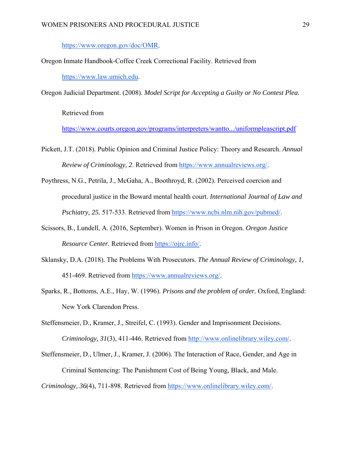https://www.oregon.gov/doc/OMR.

Oregon Inmate Handbook-Coffee Creek Correctional Facility. Retrieved from

https://www.law.umich.edu.

Oregon Judicial Department. (2008). *Model Script for Accepting a Guilty or No Contest Plea.*

Retrieved from

https://www.courts.oregon.gov/programs/interpreters/wantto.../uniformpleascript.pdf

Pickett, J.T. (2018). Public Opinion and Criminal Justice Policy: Theory and Research. *Annual Review of Criminology, 2*. Retrieved from https://www.annualreviews.org/.

Poythress, N.G., Petrila, J., McGaha, A., Boothroyd, R. (2002). Perceived coercion and procedural justice in the Boward mental health court. *International Journal of Law and Pschiatry, 25.* 517-533. Retrieved from https://www.ncbi.nlm.nih.gov/pubmed/.

- Scissors, B., Lundell, A. (2016, September). Women in Prison in Oregon*. Oregon Justice Resource Center.* Retrieved from https://ojrc.info/.
- Sklansky, D.A. (2018). The Problems With Prosecutors. *The Annual Review of Criminology, 1*, 451-469. Retrieved from https://www.annualreviews.org/.
- Sparks, R., Bottoms, A.E., Hay, W. (1996). *Prisons and the problem of order.* Oxford, England: New York Clarendon Press.

Steffensmeier, D., Kramer, J., Streifel, C. (1993). Gender and Imprisonment Decisions. *Criminology, 31*(3), 411-446. Retrieved from http://www.onlinelibrary.wiley.com/.

Steffensmeier, D., Ulmer, J., Kramer, J. (2006). The Interaction of Race, Gender, and Age in Criminal Sentencing: The Punishment Cost of Being Young, Black, and Male.

*Criminology, 36*(4), 711-898. Retrieved from https://www.onlinelibrary.wiley.com/.